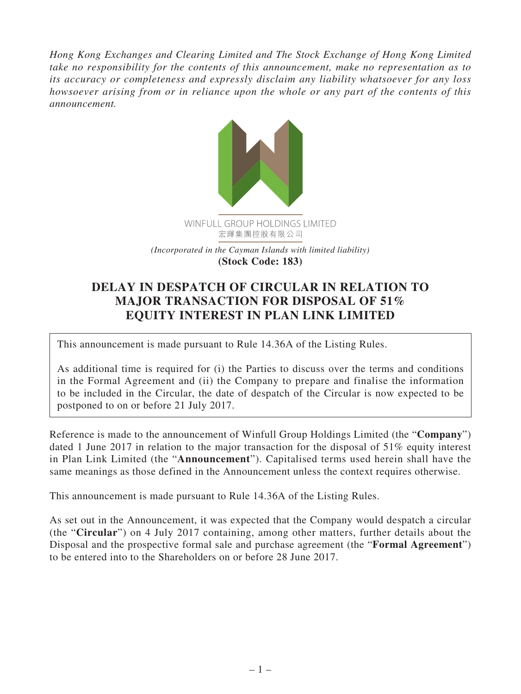*Hong Kong Exchanges and Clearing Limited and The Stock Exchange of Hong Kong Limited take no responsibility for the contents of this announcement, make no representation as to its accuracy or completeness and expressly disclaim any liability whatsoever for any loss howsoever arising from or in reliance upon the whole or any part of the contents of this announcement.*



## **DELAY IN DESPATCH OF CIRCULAR IN RELATION TO MAJOR TRANSACTION FOR DISPOSAL OF 51% EQUITY INTEREST IN PLAN LINK LIMITED**

This announcement is made pursuant to Rule 14.36A of the Listing Rules.

As additional time is required for (i) the Parties to discuss over the terms and conditions in the Formal Agreement and (ii) the Company to prepare and finalise the information to be included in the Circular, the date of despatch of the Circular is now expected to be postponed to on or before 21 July 2017.

Reference is made to the announcement of Winfull Group Holdings Limited (the "**Company**") dated 1 June 2017 in relation to the major transaction for the disposal of 51% equity interest in Plan Link Limited (the "**Announcement**"). Capitalised terms used herein shall have the same meanings as those defined in the Announcement unless the context requires otherwise.

This announcement is made pursuant to Rule 14.36A of the Listing Rules.

As set out in the Announcement, it was expected that the Company would despatch a circular (the "**Circular**") on 4 July 2017 containing, among other matters, further details about the Disposal and the prospective formal sale and purchase agreement (the "**Formal Agreement**") to be entered into to the Shareholders on or before 28 June 2017.